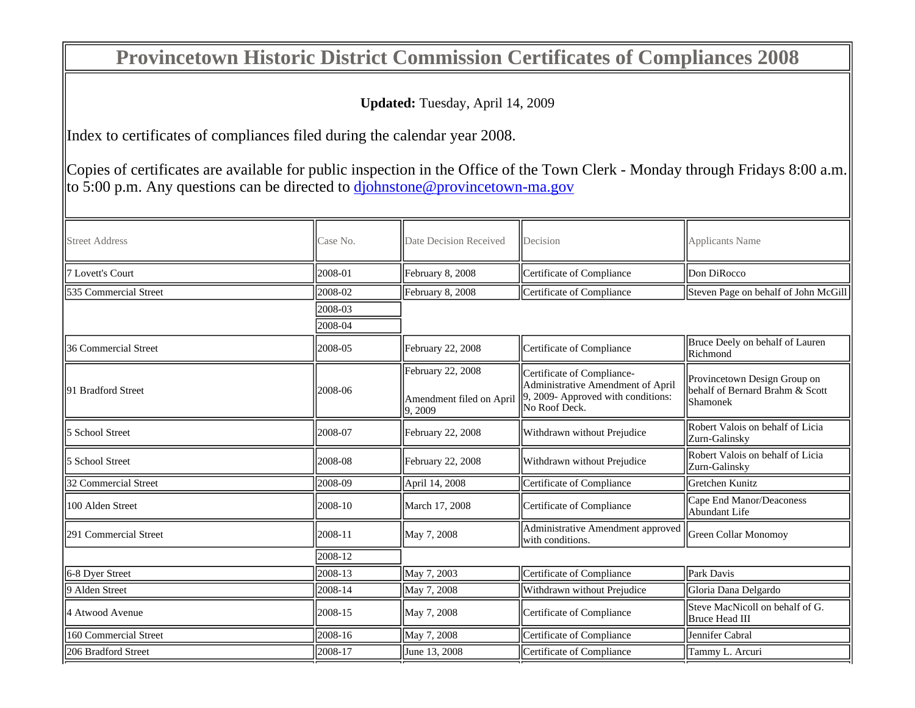## **Provincetown Historic District Commission Certificates of Compliances 2008**

**Updated:** Tuesday, April 14, 2009

Index to certificates of compliances filed during the calendar year 2008.

Copies of certificates are available for public inspection in the Office of the Town Clerk - Monday through Fridays 8:00 a.m. to 5:00 p.m. Any questions can be directed to djohnstone@provincetown-ma.gov

| <b>Street Address</b>   | Case No. | Date Decision Received              | Decision                                                        | Applicants Name                                                                     |
|-------------------------|----------|-------------------------------------|-----------------------------------------------------------------|-------------------------------------------------------------------------------------|
| <b>7 Lovett's Court</b> | 2008-01  | February 8, 2008                    | Certificate of Compliance                                       | Don DiRocco                                                                         |
| 535 Commercial Street   | 2008-02  | February 8, 2008                    | Certificate of Compliance                                       | Steven Page on behalf of John McGill                                                |
|                         | 2008-03  |                                     |                                                                 |                                                                                     |
|                         | 2008-04  |                                     |                                                                 |                                                                                     |
| 36 Commercial Street    | 2008-05  | February 22, 2008                   | Certificate of Compliance                                       | Bruce Deely on behalf of Lauren<br><b>IRichmond</b>                                 |
| 91 Bradford Street      | 2008-06  | February 22, 2008                   | Certificate of Compliance-<br>Administrative Amendment of April | Provincetown Design Group on<br>behalf of Bernard Brahm & Scott<br><b>IShamonek</b> |
|                         |          | Amendment filed on April<br>9, 2009 | 9, 2009- Approved with conditions:<br>No Roof Deck.             |                                                                                     |
| 5 School Street         | 2008-07  | February 22, 2008                   | Withdrawn without Prejudice                                     | Robert Valois on behalf of Licia<br>Zurn-Galinsky                                   |
| 5 School Street         | 2008-08  | February 22, 2008                   | Withdrawn without Prejudice                                     | Robert Valois on behalf of Licia<br><b>Zurn-Galinsky</b>                            |
| 32 Commercial Street    | 2008-09  | April 14, 2008                      | Certificate of Compliance                                       | Gretchen Kunitz                                                                     |
| 100 Alden Street        | 2008-10  | March 17, 2008                      | Certificate of Compliance                                       | Cape End Manor/Deaconess<br>Abundant Life                                           |
| 291 Commercial Street   | 2008-11  | May 7, 2008                         | Administrative Amendment approved<br>with conditions.           | Green Collar Monomov                                                                |
|                         | 2008-12  |                                     |                                                                 |                                                                                     |
| 6-8 Dyer Street         | 2008-13  | May 7, 2003                         | Certificate of Compliance                                       | Park Davis                                                                          |
| 9 Alden Street          | 2008-14  | May 7, 2008                         | Withdrawn without Prejudice                                     | Gloria Dana Delgardo                                                                |
| 4 Atwood Avenue         | 2008-15  | May 7, 2008                         | Certificate of Compliance                                       | Steve MacNicoll on behalf of G.<br>Bruce Head III                                   |
| 160 Commercial Street   | 2008-16  | May 7, 2008                         | Certificate of Compliance                                       | Jennifer Cabral                                                                     |
| 206 Bradford Street     | 2008-17  | June 13, 2008                       | Certificate of Compliance                                       | Tammy L. Arcuri                                                                     |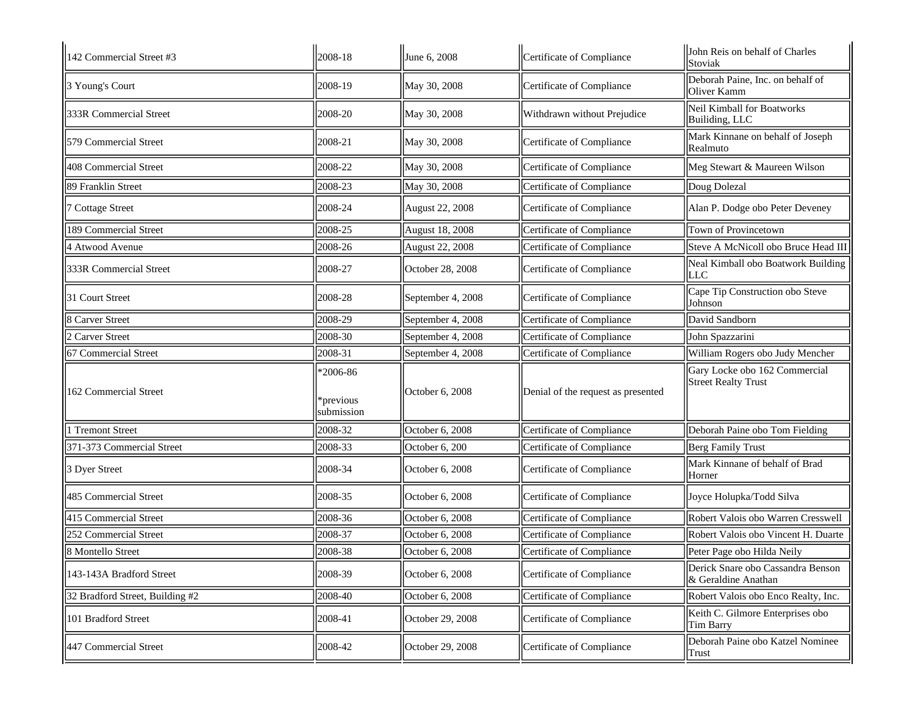| 142 Commercial Street #3        | 2008-18                               | June 6, 2008      | Certificate of Compliance          | John Reis on behalf of Charles<br>Stoviak                   |
|---------------------------------|---------------------------------------|-------------------|------------------------------------|-------------------------------------------------------------|
| 3 Young's Court                 | 2008-19                               | May 30, 2008      | Certificate of Compliance          | Deborah Paine, Inc. on behalf of<br>Oliver Kamm             |
| 333R Commercial Street          | 2008-20                               | May 30, 2008      | Withdrawn without Prejudice        | <b>Neil Kimball for Boatworks</b><br>Builiding, LLC         |
| 579 Commercial Street           | 2008-21                               | May 30, 2008      | Certificate of Compliance          | Mark Kinnane on behalf of Joseph<br>Realmuto                |
| 408 Commercial Street           | 2008-22                               | May 30, 2008      | Certificate of Compliance          | Meg Stewart & Maureen Wilson                                |
| 89 Franklin Street              | 2008-23                               | May 30, 2008      | Certificate of Compliance          | Doug Dolezal                                                |
| 7 Cottage Street                | 2008-24                               | August 22, 2008   | Certificate of Compliance          | Alan P. Dodge obo Peter Deveney                             |
| 189 Commercial Street           | 2008-25                               | August 18, 2008   | Certificate of Compliance          | Town of Provincetown                                        |
| 4 Atwood Avenue                 | 2008-26                               | August 22, 2008   | Certificate of Compliance          | Steve A McNicoll obo Bruce Head III                         |
| 333R Commercial Street          | 2008-27                               | October 28, 2008  | Certificate of Compliance          | Neal Kimball obo Boatwork Building<br><b>LLC</b>            |
| 31 Court Street                 | 2008-28                               | September 4, 2008 | Certificate of Compliance          | Cape Tip Construction obo Steve<br>Johnson                  |
| 8 Carver Street                 | 2008-29                               | September 4, 2008 | Certificate of Compliance          | David Sandborn                                              |
| 2 Carver Street                 | 2008-30                               | September 4, 2008 | Certificate of Compliance          | John Spazzarini                                             |
| 67 Commercial Street            | 2008-31                               | September 4, 2008 | Certificate of Compliance          | William Rogers obo Judy Mencher                             |
| 162 Commercial Street           | $*2006-86$<br>*previous<br>submission | October 6, 2008   | Denial of the request as presented | Gary Locke obo 162 Commercial<br><b>Street Realty Trust</b> |
| 1 Tremont Street                | 2008-32                               | October 6, 2008   | Certificate of Compliance          | Deborah Paine obo Tom Fielding                              |
| 371-373 Commercial Street       | 2008-33                               | October 6, 200    | Certificate of Compliance          | Berg Family Trust                                           |
| 3 Dyer Street                   | 2008-34                               | October 6, 2008   | Certificate of Compliance          | Mark Kinnane of behalf of Brad<br>Horner                    |
| 485 Commercial Street           | 2008-35                               | October 6, 2008   | Certificate of Compliance          | Joyce Holupka/Todd Silva                                    |
| 415 Commercial Street           | 2008-36                               | October 6, 2008   | Certificate of Compliance          | Robert Valois obo Warren Cresswell                          |
| 252 Commercial Street           | 2008-37                               | October 6, 2008   | Certificate of Compliance          | Robert Valois obo Vincent H. Duarte                         |
| 8 Montello Street               | 2008-38                               | October 6, 2008   | Certificate of Compliance          | Peter Page obo Hilda Neily                                  |
| 143-143A Bradford Street        | 2008-39                               | October 6, 2008   | Certificate of Compliance          | Derick Snare obo Cassandra Benson<br>& Geraldine Anathan    |
| 32 Bradford Street, Building #2 | 2008-40                               | October 6, 2008   | Certificate of Compliance          | Robert Valois obo Enco Realty, Inc.                         |
| 101 Bradford Street             | 2008-41                               | October 29, 2008  | Certificate of Compliance          | Keith C. Gilmore Enterprises obo<br>Tim Barry               |
| 447 Commercial Street           | 2008-42                               | October 29, 2008  | Certificate of Compliance          | Deborah Paine obo Katzel Nominee<br>Trust                   |